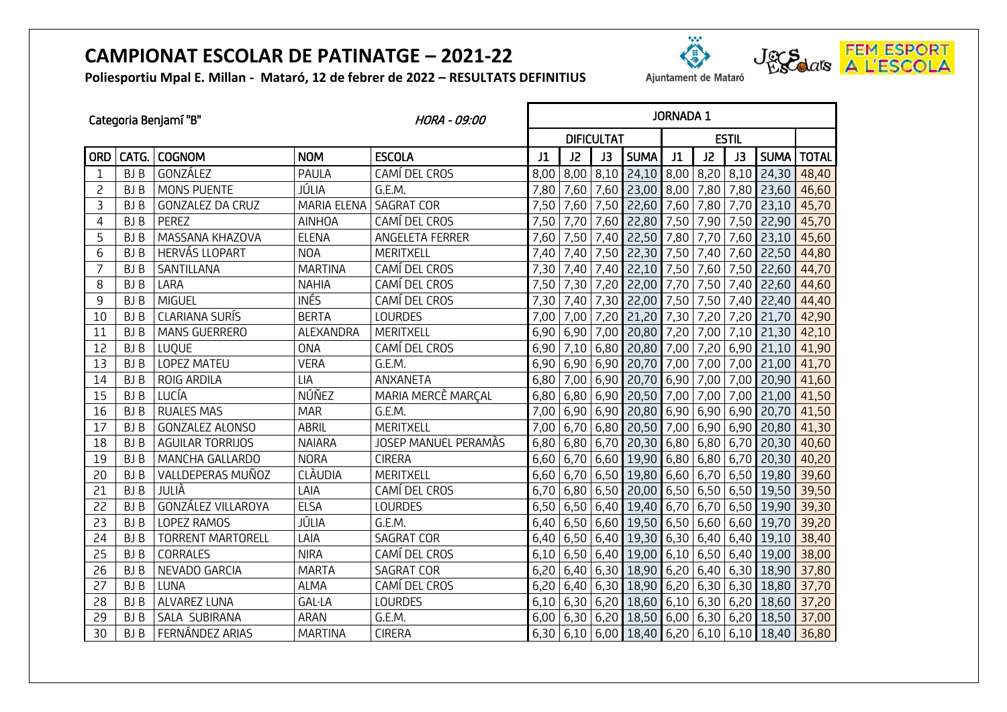**Poliesportiu Mpal E. Millan - Mataró, 12 de febrer de 2022 – RESULTATS DEFINITIUS**

| ----                 |  |  |
|----------------------|--|--|
| Ajuntament de Mataró |  |  |

卷



|              |            | Categoria Benjamí "B"    | HORA - 09:00   | <b>JORNADA 1</b>     |      |                   |      |              |      |             |      |                   |              |
|--------------|------------|--------------------------|----------------|----------------------|------|-------------------|------|--------------|------|-------------|------|-------------------|--------------|
|              |            |                          |                |                      |      | <b>DIFICULTAT</b> |      |              |      |             |      |                   |              |
| <b>ORD</b>   | CATG.      | <b>COGNOM</b>            | <b>NOM</b>     | <b>ESCOLA</b>        | J1   | J2                | J3   | <b>SUMA</b>  | J1   | J2          | J3   | <b>SUMA</b>       | <b>TOTAL</b> |
| $\mathbf{1}$ | BJ B       | GONZÁLEZ                 | PAULA          | CAMÍ DEL CROS        | 8,00 | 8,00              | 8,10 | 24,10        | 8,00 | 8,20        | 8,10 | 24,30             | 48,40        |
| 2            | <b>BJB</b> | MONS PUENTE              | JÚLIA          | G.E.M.               | 7,80 | 7,60              | 7,60 | 23,00        | 8,00 | 7,80        | 7,80 | 23,60             | 46,60        |
| 3            | <b>BJB</b> | <b>GONZALEZ DA CRUZ</b>  | MARIA ELENA    | <b>SAGRAT COR</b>    | 7,50 | 7,60              | 7,50 | 22,60        | 7,60 | 7,80        | 7,70 | 23,10             | 45,70        |
| 4            | BJ B       | PEREZ                    | <b>AINHOA</b>  | CAMÍ DEL CROS        | 7,50 | 7,70              | 7,60 | 22,80        | 7,50 | 7,90        | 7,50 | 22,90             | 45,70        |
| 5            | BJ B       | MASSANA KHAZOVA          | <b>ELENA</b>   | ANGELETA FERRER      | 7,60 | 7,50              | 7,40 | 22,50        | 7,80 | 7,70        | 7,60 | 23,10             | 45,60        |
| 6            | BJ B       | <b>HERVÁS LLOPART</b>    | <b>NOA</b>     | <b>MERITXELL</b>     | 7,40 | 7,40              | 7,50 | 22,30        | 7,50 | 7,40        | 7,60 | 22,50             | 44,80        |
| 7            | BJ B       | SANTILLANA               | <b>MARTINA</b> | CAMÍ DEL CROS        | 7,30 | 7,40              | 7,40 | 22,10        | 7,50 | 7,60        | 7,50 | 22,60             | 44,70        |
| 8            | <b>BJB</b> | LARA                     | <b>NAHIA</b>   | CAMÍ DEL CROS        | 7,50 | 7,30              | 7,20 | 22,00        | 7,70 | 7,50        | 7,40 | 22,60             | 44,60        |
| 9            | <b>BJB</b> | <b>MIGUEL</b>            | <b>INÉS</b>    | CAMÍ DEL CROS        | 7,30 | 7,40              |      | 7,30 22,00   | 7,50 | 7,50        | 7,40 | 22,40             | 44,40        |
| 10           | BJ B       | <b>CLARIANA SURÍS</b>    | <b>BERTA</b>   | <b>LOURDES</b>       | 7,00 | 7,00              | 7,20 | 21,20        | 7,30 | 7,20        | 7,20 | 21,70             | 42,90        |
| 11           | <b>BJB</b> | MANS GUERRERO            | ALEXANDRA      | <b>MERITXELL</b>     | 6,90 | 6,90              | 7,00 | 20,80        | 7,20 | 7,00        | 7,10 | 21,30             | 42,10        |
| 12           | <b>BJB</b> | LUQUE                    | <b>ONA</b>     | CAMÍ DEL CROS        | 6,90 | 7,10              | 6,80 | 20,80        | 7,00 | 7,20        | 6,90 | 21,10             | 41,90        |
| 13           | BJ B       | <b>LOPEZ MATEU</b>       | <b>VERA</b>    | G.E.M.               | 6,90 | 6,90              | 6,90 | 20,70        | 7,00 | 7,00        | 7,00 | 21,00             | 41,70        |
| 14           | BJ B       | ROIG ARDILA              | LIA            | ANXANETA             | 6,80 | 7,00              | 6,90 | 20,70        | 6,90 | 7,00        | 7,00 | 20,90             | 41,60        |
| 15           | <b>BJB</b> | LUCÍA                    | NÚÑEZ          | MARIA MERCÈ MARCAL   | 6,80 | 6,80              | 6,90 | 20,50        | 7,00 | 7,00        | 7,00 | 21,00             | 41,50        |
| 16           | BJ B       | <b>RUALES MAS</b>        | <b>MAR</b>     | G.E.M.               | 7,00 | 6,90              | 6,90 | 20,80        | 6,90 | 6,90        | 6,90 | 20,70             | 41,50        |
| 17           | <b>BJB</b> | <b>GONZALEZ ALONSO</b>   | <b>ABRIL</b>   | MERITXELL            | 7,00 | 6,70              | 6,80 | 20,50        | 7,00 | 6,90        | 6,90 | 20,80             | 41,30        |
| 18           | <b>BJB</b> | AGUILAR TORRIJOS         | <b>NAIARA</b>  | JOSEP MANUEL PERAMÀS | 6,80 | 6,80              |      | 6,70 20,30   | 6,80 | $6,80$ 6,70 |      | 20,30             | 40,60        |
| 19           | <b>BJB</b> | MANCHA GALLARDO          | <b>NORA</b>    | <b>CIRERA</b>        | 6,60 | 6,70              |      | 6,60 19,90   | 6,80 | 6,80        | 6,70 | 20,30             | 40,20        |
| 20           | <b>BJB</b> | VALLDEPERAS MUÑOZ        | <b>CLÀUDIA</b> | MERITXELL            | 6,60 | 6,70              | 6,50 | 19,80        | 6,60 | 6,70        | 6,50 | 19,80             | 39,60        |
| 21           | <b>BJB</b> | JULIÀ                    | LAIA           | CAMÍ DEL CROS        | 6,70 | 6,80              | 6,50 | 20,00        | 6,50 | 6,50        | 6,50 | 19,50             | 39,50        |
| 22           | <b>BJB</b> | GONZÁLEZ VILLAROYA       | ELSA           | <b>LOURDES</b>       | 6,50 | 6,50              |      | 6,40 19,40   | 6,70 | 6,70        | 6,50 | 19,90             | 39,30        |
| 23           | BJ B       | LOPEZ RAMOS              | JÚLIA          | G.E.M.               | 6,40 | 6,50              |      | 6,60 19,50   | 6,50 | 6,60        | 6,60 | 19,70             | 39,20        |
| 24           | <b>BJB</b> | <b>TORRENT MARTORELL</b> | LAIA           | <b>SAGRAT COR</b>    | 6,40 | 6,50              |      | 6,40 19,30   | 6,30 | 6,40        | 6,40 | 19,10             | 38,40        |
| 25           | <b>BJB</b> | CORRALES                 | <b>NIRA</b>    | CAMÍ DEL CROS        | 6,10 | 6,50              |      | 6,40 19,00   | 6,10 | 6,50        | 6,40 | 19,00             | 38,00        |
| 26           | BJ B       | NEVADO GARCIA            | <b>MARTA</b>   | <b>SAGRAT COR</b>    | 6,20 | 6,40              | 6,30 | 18,90        | 6,20 | 6,40        | 6,30 | 18,90             | 37,80        |
| 27           | <b>BJB</b> | LUNA                     | <b>ALMA</b>    | CAMÍ DEL CROS        | 6,20 | 6,40              |      | 6,30 18,90   | 6,20 | $6,30$ 6,30 |      | 18,80             | 37,70        |
| 28           | <b>BJB</b> | <b>ALVAREZ LUNA</b>      | GAL·LA         | LOURDES              | 6,10 | 6,30              |      | $6,20$ 18,60 | 6,10 | $6,30$ 6,20 |      | 18,60             | 37,20        |
| 29           | <b>BJB</b> | SALA SUBIRANA            | <b>ARAN</b>    | G.E.M.               | 6,00 | 6,30              |      | 6,20 18,50   | 6,00 | 6,30        | 6,20 | 18,50             | 37,00        |
| 30           | BJ B       | FERNÁNDEZ ARIAS          | <b>MARTINA</b> | <b>CIRERA</b>        | 6,30 | 6,10              |      | $6,00$ 18,40 | 6,20 |             |      | $6,10$ 6,10 18,40 | 36,80        |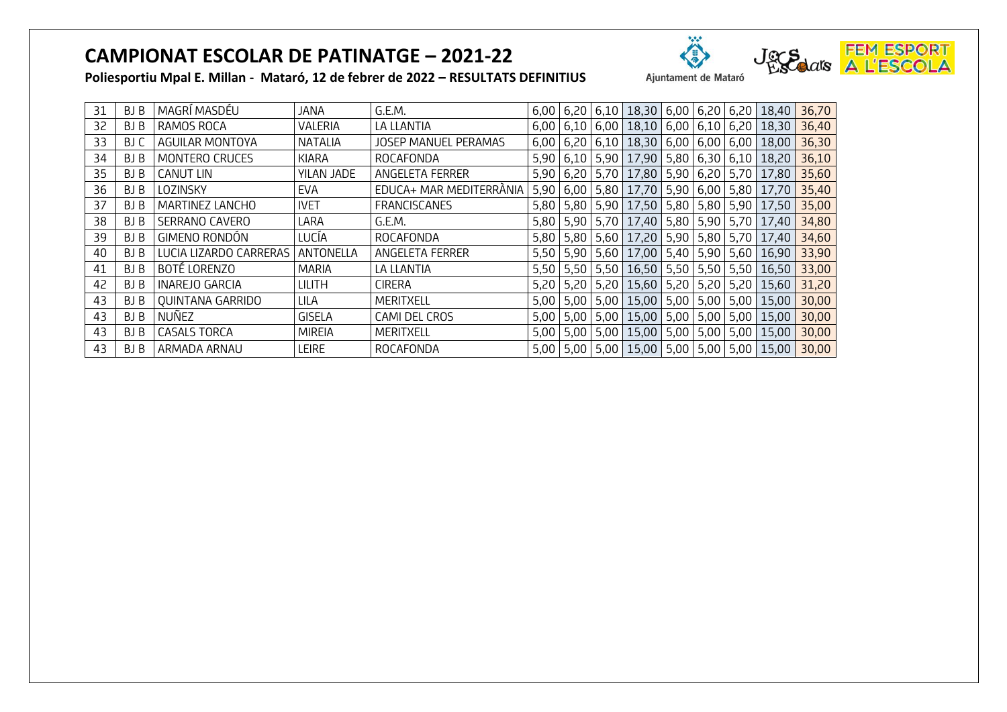

| 31 | BJ B | MAGRÍ MASDÉU           | JANA           | G.E.M.                      |             | $6,00$ 6,20 6,10 18,30 6,00                       |                |             | $6,20$ 6,20 | 18,40                                                   | 36,70 |
|----|------|------------------------|----------------|-----------------------------|-------------|---------------------------------------------------|----------------|-------------|-------------|---------------------------------------------------------|-------|
| 32 | BJ B | RAMOS ROCA             | VALERIA        | LA LLANTIA                  |             | $6,00$   6,10   6,00   18,10   6,00   6,10   6,20 |                |             |             | 18,30                                                   | 36,40 |
| 33 | BJ C | AGUILAR MONTOYA        | <b>NATALIA</b> | <b>JOSEP MANUEL PERAMAS</b> |             | $6,00$   6,20   6,10   18,30   6,00   6,00   6,00 |                |             |             | 18,00                                                   | 36,30 |
| 34 | BJ B | MONTERO CRUCES         | KIARA          | ROCAFONDA                   |             | 5,90 6,10 5,90 17,90                              | 5,80 6,30 6,10 |             |             | 18,20                                                   | 36,10 |
| 35 | BJ B | <b>CANUT LIN</b>       | YILAN JADE     | ANGELETA FERRER             |             | 5,90 6,20 5,70 17,80                              | 5,90           |             | $6,20$ 5,70 | 17,80                                                   | 35,60 |
| 36 | BJ B | LOZINSKY               | EVA            | EDUCA+ MAR MEDITERRÀNIA     |             | 5,90 6,00 5,80 17,70                              | 5,90           |             | $6,00$ 5,80 | 17,70                                                   | 35,40 |
| 37 | BJ B | MARTINEZ LANCHO        | <b>IVET</b>    | <b>FRANCISCANES</b>         |             | 5,80 5,80 5,90 17,50                              | 5,80 5,80 5,90 |             |             | 17,50                                                   | 35,00 |
| 38 | BJ B | SERRANO CAVERO         | LARA           | G.E.M.                      |             | 5,80 5,90 5,70 17,40                              | 5,80           | $5,90$ 5,70 |             | 17,40                                                   | 34,80 |
| 39 | BJ B | GIMENO RONDÓN          | LUCÍA          | ROCAFONDA                   |             | 5,80 5,80 5,60 17,20                              | 5,90 5,80 5,70 |             |             | 17,40                                                   | 34,60 |
| 40 | BJ B | LUCIA LIZARDO CARRERAS | ANTONELLA      | ANGELETA FERRER             |             | 5,50 5,90 5,60 17,00                              | 5,40           |             | $5,90$ 5,60 | 16,90                                                   | 33,90 |
| 41 | BJ B | BOTÉ LORENZO           | <b>MARIA</b>   | LA LLANTIA                  |             | 5,50   5,50   5,50   16,50   5,50   5,50   5,50   |                |             |             | $16,50$ 33,00                                           |       |
| 42 | BJ B | <b>INAREJO GARCIA</b>  | <b>LILITH</b>  | <b>CIRERA</b>               |             | 5,20 5,20 5,20 15,60                              | 5,20 5,20 5,20 |             |             | 15,60                                                   | 31,20 |
| 43 | BJ B | QUINTANA GARRIDO       | LILA           | MERITXELL                   |             | $5,00$   $5,00$   $5,00$   $15,00$                | 5,00 5,00 5,00 |             |             | 15,00                                                   | 30,00 |
| 43 | BJ B | NUÑEZ                  | <b>GISELA</b>  | CAMI DEL CROS               |             | 5,00 5,00 5,00 15,00                              | 5,00           |             | $5,00$ 5,00 | 15,00                                                   | 30,00 |
| 43 | BJ B | <b>CASALS TORCA</b>    | <b>MIREIA</b>  | <b>MERITXELL</b>            | $5,00$ 5,00 | $5,00$ 15,00                                      | 5,00           |             | $5,00$ 5,00 | 15,00                                                   | 30,00 |
| 43 | BJ B | ARMADA ARNAU           | <b>LEIRE</b>   | ROCAFONDA                   |             |                                                   |                |             |             | 5,00   5,00   5,00   15,00   5,00   5,00   5,00   15,00 | 30,00 |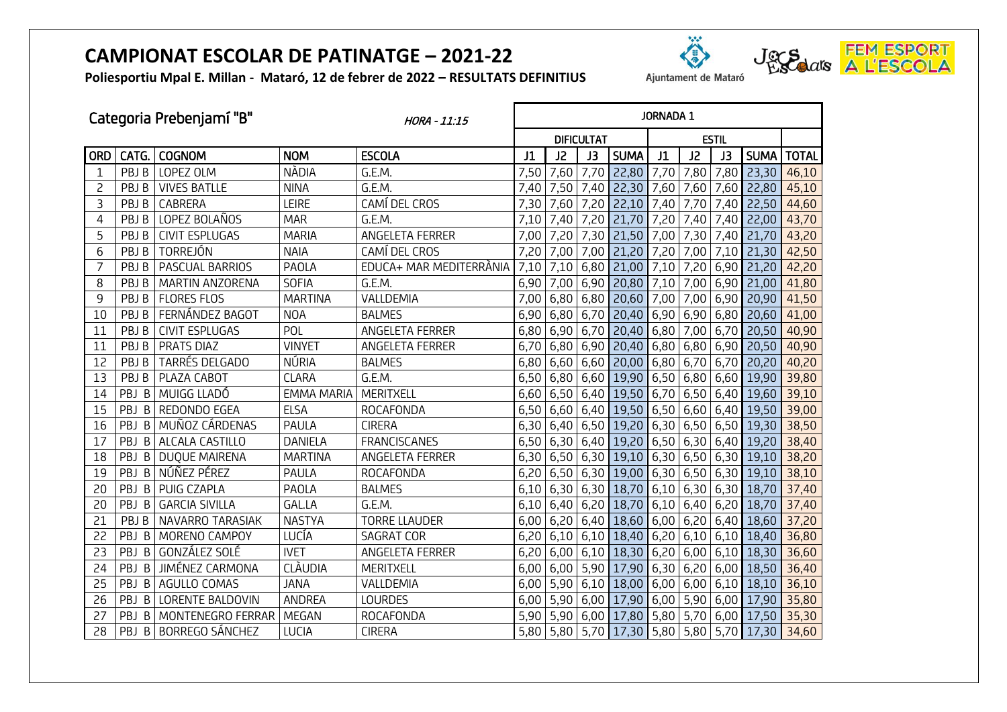**Poliesportiu Mpal E. Millan - Mataró, 12 de febrer de 2022 – RESULTATS DEFINITIUS**

| Ajuntament de Mataró |  |
|----------------------|--|

Ä



| Categoria Prebenjamí "B"<br>HORA - 11:15 |       |                           |                   | <b>JORNADA 1</b>        |      |             |                   |                                             |      |      |      |                   |              |
|------------------------------------------|-------|---------------------------|-------------------|-------------------------|------|-------------|-------------------|---------------------------------------------|------|------|------|-------------------|--------------|
|                                          |       |                           |                   |                         |      |             | <b>DIFICULTAT</b> |                                             |      |      |      |                   |              |
| <b>ORD</b>                               | CATG. | <b>COGNOM</b>             | <b>NOM</b>        | <b>ESCOLA</b>           | J1   | J2          | J3                | <b>SUMA</b>                                 | J1   | J2   | J3   | <b>SUMA</b>       | <b>TOTAL</b> |
|                                          | PBJ B | LOPEZ OLM                 | <b>NÀDIA</b>      | G.E.M.                  | 7,50 | 7,60        | 7,70              | 22,80                                       | 7,70 | 7,80 | 7,80 | 23,30             | 46,10        |
| 2                                        | PBJ B | <b>VIVES BATLLE</b>       | <b>NINA</b>       | G.E.M.                  | 7,40 |             | $7,50$ 7,40       | 22,30                                       | 7,60 | 7,60 |      | 7,60 22,80        | 45,10        |
| 3                                        | PBJ B | CABRERA                   | LEIRE             | CAMÍ DEL CROS           | 7,30 | 7,60 7,20   |                   | 22,10                                       | 7,40 | 7,70 | 7,40 | 22,50             | 44,60        |
| 4                                        | PBJ B | LOPEZ BOLAÑOS             | <b>MAR</b>        | G.E.M.                  | 7,10 | 7,40        | 7,20              | 21,70                                       | 7,20 | 7,40 | 7,40 | 22,00             | 43,70        |
| 5                                        | PBJ B | <b>CIVIT ESPLUGAS</b>     | <b>MARIA</b>      | ANGELETA FERRER         | 7,00 | 7,20        | 7,30              | 21,50                                       | 7,00 | 7,30 | 7,40 | 21,70             | 43,20        |
| 6                                        | PBJ B | TORREJÓN                  | <b>NAIA</b>       | CAMÍ DEL CROS           | 7,20 | 7,00 7,00   |                   | 21,20                                       | 7,20 | 7,00 |      | $7,10$ 21,30      | 42,50        |
| 7                                        | PBJ B | PASCUAL BARRIOS           | PAOLA             | EDUCA+ MAR MEDITERRÀNIA | 7,10 | 7,10        | 6,80              | 21,00                                       | 7,10 | 7,20 | 6,90 | 21,20             | 42,20        |
| 8                                        | PBJB  | MARTIN ANZORENA           | <b>SOFIA</b>      | G.E.M.                  | 6,90 | 7,00 6,90   |                   | 20,80 7,10                                  |      | 7,00 |      | $6,90$ 21,00      | 41,80        |
| 9                                        | PBJ B | <b>FLORES FLOS</b>        | <b>MARTINA</b>    | VALLDEMIA               | 7,00 | $6,80$ 6,80 |                   | 20,60                                       | 7,00 | 7,00 | 6,90 | 20,90             | 41,50        |
| 10                                       | PBJ B | FERNÁNDEZ BAGOT           | <b>NOA</b>        | <b>BALMES</b>           | 6,90 | $6,80$ 6,70 |                   | $20,40$ 6,90                                |      | 6,90 |      | $6,80$ 20,60      | 41,00        |
| 11                                       | PBJ B | <b>CIVIT ESPLUGAS</b>     | POL               | ANGELETA FERRER         | 6,80 | $6,90$ 6,70 |                   | $20,40$ 6,80                                |      | 7,00 | 6,70 | 20,50             | 40,90        |
| 11                                       | PBJ B | <b>PRATS DIAZ</b>         | <b>VINYET</b>     | ANGELETA FERRER         | 6,70 | $6,80$ 6,90 |                   | $20,40$ 6,80                                |      | 6,80 | 6,90 | 20,50             | 40,90        |
| 12                                       | PBJ B | TARRÉS DELGADO            | NÚRIA             | <b>BALMES</b>           | 6,80 | $6,60$ 6,60 |                   | $20,00$ 6,80                                |      | 6,70 | 6,70 | 20,20             | 40,20        |
| 13                                       | PBJ B | PLAZA CABOT               | <b>CLARA</b>      | G.E.M.                  | 6,50 | $6,80$ 6,60 |                   | 19,90 6,50                                  |      | 6,80 |      | 6,60 19,90        | 39,80        |
| 14                                       | PBJ B | MUIGG LLADÓ               | <b>EMMA MARIA</b> | MERITXELL               | 6,60 | $6,50$ 6,40 |                   | 19,50 6,70                                  |      | 6,50 |      | $6,40$ 19,60      | 39,10        |
| 15                                       | PBJB  | REDONDO EGEA              | <b>ELSA</b>       | ROCAFONDA               | 6,50 |             |                   | $6,60$ 6,40 19,50 6,50                      |      |      |      | $6,60$ 6,40 19,50 | 39,00        |
| 16                                       |       | PBJ B MUÑOZ CÁRDENAS      | PAULA             | <b>CIRERA</b>           |      |             |                   | $6,30$ 6,40 6,50 19,20 6,30 6,50 6,50 19,30 |      |      |      |                   | 38,50        |
| 17                                       | PBJ B | ALCALA CASTILLO           | DANIELA           | <b>FRANCISCANES</b>     | 6,50 | 6,30 6,40   |                   | 19,20 6,50                                  |      | 6,30 |      | $6,40$ 19,20      | 38,40        |
| 18                                       | PBJ B | DUQUE MAIRENA             | <b>MARTINA</b>    | ANGELETA FERRER         | 6,30 | $6,50$ 6,30 |                   | $19,10$ 6,30                                |      | 6,50 |      | $6,30$ 19,10      | 38,20        |
| 19                                       |       | PBJ B NÚÑEZ PÉREZ         | PAULA             | ROCAFONDA               | 6,20 | $6,50$ 6,30 |                   | 19,00 6,30                                  |      | 6,50 |      | $6,30$ 19,10      | 38,10        |
| 20                                       | PBJ B | PUIG CZAPLA               | PAOLA             | <b>BALMES</b>           | 6,10 | 6,30 6,30   |                   | $18,70$ 6,10                                |      |      |      | $6,30$ 6,30 18,70 | 37,40        |
| 20                                       | PBJ B | <b>GARCIA SIVILLA</b>     | GAL.LA            | G.E.M.                  | 6,10 | $6,40$ 6,20 |                   | $18,70$ 6,10                                |      |      |      | $6,40$ 6,20 18,70 | 37,40        |
| 21                                       | PBJ B | NAVARRO TARASIAK          | <b>NASTYA</b>     | <b>TORRE LLAUDER</b>    | 6,00 | $6,20$ 6,40 |                   | 18,60 6,00                                  |      | 6,20 |      | $6,40$ 18,60      | 37,20        |
| 22                                       | PBJ B | MORENO CAMPOY             | LUCÍA             | <b>SAGRAT COR</b>       | 6,20 | $6,10$ 6,10 |                   | 18,40 6,20                                  |      | 6,10 |      | $6,10$ 18,40      | 36,80        |
| 23                                       | PBJ B | GONZÁLEZ SOLÉ             | <b>IVET</b>       | ANGELETA FERRER         | 6,20 | $6,00$ 6,10 |                   | 18,30 6,20                                  |      | 6,00 |      | $6,10$ 18,30      | 36,60        |
| 24                                       | PBJ B | JIMÉNEZ CARMONA           | <b>CLÀUDIA</b>    | MERITXELL               | 6,00 | 6,00 5,90   |                   | 17,90 6,30                                  |      | 6,20 |      | $6,00$ 18,50      | 36,40        |
| 25                                       | PBJ B | AGULLO COMAS              | <b>JANA</b>       | VALLDEMIA               | 6,00 | $5,90$ 6,10 |                   | 18,00 6,00                                  |      | 6,00 |      | $6,10$ 18,10      | 36,10        |
| 26                                       | PBJ B | <b>LORENTE BALDOVIN</b>   | ANDREA            | <b>LOURDES</b>          | 6,00 | 5,90 6,00   |                   | 17,90 6,00                                  |      | 5,90 |      | $6,00$ 17,90      | 35,80        |
| 27                                       |       | PBJ B   MONTENEGRO FERRAR | MEGAN             | ROCAFONDA               |      |             |                   | 5,90 5,90 6,00 17,80 5,80                   |      | 5,70 |      | $6,00$ 17,50      | 35,30        |
| 28                                       |       | PBJ B BORREGO SÁNCHEZ     | LUCIA             | <b>CIRERA</b>           |      |             |                   | 5,80 5,80 5,70 17,30 5,80                   |      |      |      | $5,80$ 5,70 17,30 | 34,60        |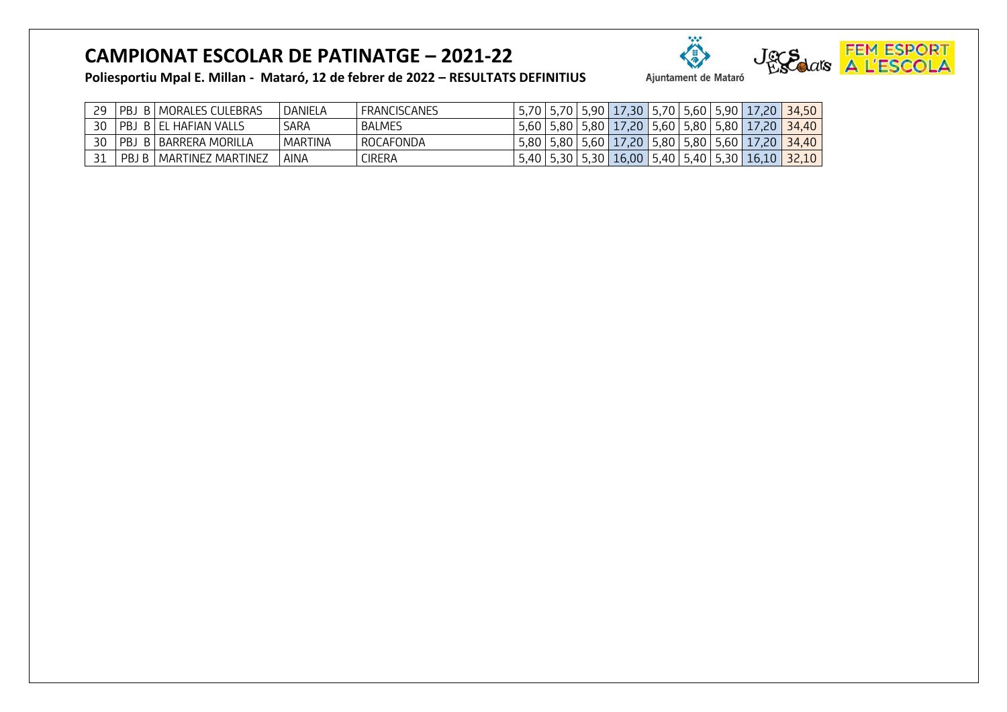

| 29 | PBJ | B   MORALES CULEBRAS      | DANIELA | <b>FRANCISCANES</b> |  |  |  | 5,70   5,70   5,90   17,30   5,70   5,60   5,90   17,20   34,50              |  |
|----|-----|---------------------------|---------|---------------------|--|--|--|------------------------------------------------------------------------------|--|
| 30 |     | PBJ B EL HAFIAN VALLS     | SARA    | <b>BALMES</b>       |  |  |  | 5,60   5,80   5,80   17,20   5,60   5,80   5,80   17,20   34,40              |  |
| 30 |     | PBJ B   BARRERA MORILLA   | MARTINA | <b>ROCAFONDA</b>    |  |  |  | 5,80   5,80   5,60   17,20   5,80   5,80   5,60   17,20   34,40              |  |
|    |     | PBJ B   MARTINEZ MARTINEZ | AINA    | <b>CIRERA</b>       |  |  |  | 5,40   5,30   5,30   16,00   5,40   5,40   5,30   16,10   <mark>32,10</mark> |  |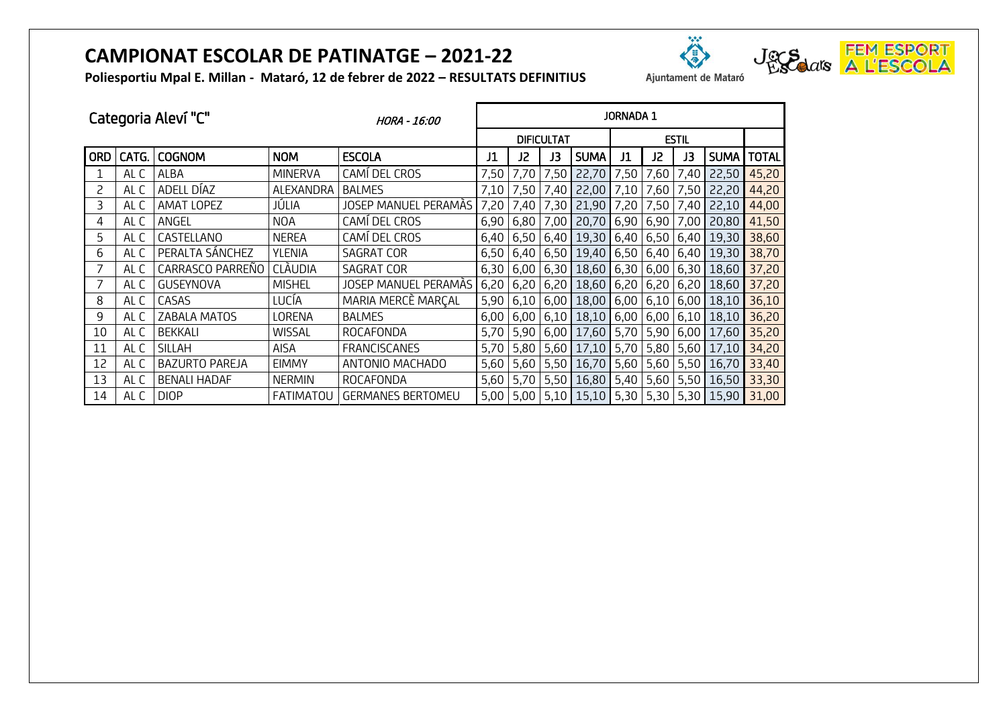



| - KESULIAIS DEFINIIIUS | Aluntamer |
|------------------------|-----------|
|                        |           |

| Categoria Aleví "C" |       |                       | HORA - 16:00     | <b>JORNADA 1</b>         |                   |             |      |              |      |      |      |                       |              |
|---------------------|-------|-----------------------|------------------|--------------------------|-------------------|-------------|------|--------------|------|------|------|-----------------------|--------------|
|                     |       |                       |                  |                          | <b>DIFICULTAT</b> |             |      | <b>ESTIL</b> |      |      |      |                       |              |
| <b>ORD</b>          | CATG. | <b>COGNOM</b>         | <b>NOM</b>       | <b>ESCOLA</b>            | J1                | J2          | J3   | <b>SUMA</b>  | J1   | J2   | JЗ   | SUMA <sup>1</sup>     | <b>TOTAL</b> |
|                     | AL C  | ALBA                  | <b>MINERVA</b>   | CAMÍ DEL CROS            | 7,50              | 7,70        | 7,50 | 22,70        | 7,50 | 7,60 | 7,40 | 22,50                 | 45,20        |
| 2                   | AL C  | ADELL DÍAZ            | ALEXANDRA        | <b>BALMES</b>            | 7,10              | 7,50        | 7,40 | 22,00        | 7,10 | 7,60 | 7,50 | 22,20                 | 44,20        |
| 3                   | AL C  | AMAT LOPEZ            | JÚLIA            | JOSEP MANUEL PERAMAS     | 7,20              | 7,40        | 7,30 | 21,90        | 7,20 | 7,50 | 7,40 | 22,10                 | 44,00        |
| 4                   | AL C  | ANGEL                 | <b>NOA</b>       | CAMÍ DEL CROS            | 6,90              | 6,80        | 7,00 | 20,70        | 6,90 | 6,90 | 7,00 | 20,80                 | 41,50        |
| 5                   | AL C  | CASTELLANO            | <b>NEREA</b>     | CAMÍ DEL CROS            |                   | $6,40$ 6,50 |      | $6,40$ 19,30 | 6,40 |      |      | $6,50$   6,40   19,30 | 38,60        |
| 6                   | AL C  | PERALTA SÁNCHEZ       | YLENIA           | SAGRAT COR               |                   | $6,50$ 6,40 |      | $6,50$ 19,40 | 6,50 |      |      | $6,40$ 6,40 19,30     | 38,70        |
| 7                   | al C  | CARRASCO PARREÑO      | CLÀUDIA          | SAGRAT COR               |                   | $6,30$ 6,00 |      | $6,30$ 18,60 | 6,30 |      |      | $6,00$ 6,30 18,60     | 37,20        |
| 7                   | AL C  | <b>GUSEYNOVA</b>      | <b>MISHEL</b>    | JOSEP MANUEL PERAMÀS     | 6,20              | 6,20        |      | $6,20$ 18,60 | 6,20 |      |      | $6,20$ 6,20 18,60     | 37,20        |
| 8                   | AL C  | CASAS                 | LUCÍA            | MARIA MERCÈ MARÇAL       |                   | $5,90$ 6,10 |      | $6,00$ 18,00 | 6,00 |      |      | $6,10$ 6,00 18,10     | 36,10        |
| 9                   | AL C  | ZABALA MATOS          | LORENA           | <b>BALMES</b>            | 6,00              | 6,00        |      | $6,10$ 18,10 | 6,00 |      |      | $6,00$ 6,10 18,10     | 36,20        |
| 10                  | AL C  | <b>BEKKALI</b>        | <b>WISSAL</b>    | ROCAFONDA                | 5,70              | 5,90        |      | 6,00 17,60   | 5,70 | 5,90 |      | $6,00$ 17,60          | 35,20        |
| 11                  | AL C  | <b>SILLAH</b>         | AISA             | <b>FRANCISCANES</b>      | 5,70              | 5,80        |      | $5,60$ 17,10 | 5,70 |      |      | 5,80 5,60 17,10       | 34,20        |
| 12                  | AL C  | <b>BAZURTO PAREJA</b> | <b>EIMMY</b>     | ANTONIO MACHADO          | 5,60              | 5,60        |      | 5,50 16,70   | 5,60 |      |      | $5,60$ 5,50 16,70     | 33,40        |
| 13                  | AL C  | <b>BENALI HADAF</b>   | <b>NERMIN</b>    | ROCAFONDA                | 5,60              | 5,70        |      | $5,50$ 16,80 | 5,40 |      |      | 5,60 5,50 16,50       | 33,30        |
| 14                  | AL C  | <b>DIOP</b>           | <b>FATIMATOU</b> | <b>GERMANES BERTOMEU</b> | 5,00              | 5,00        |      | $5,10$ 15,10 | 5,30 |      |      | 5,30 5,30 15,90       | 31,00        |